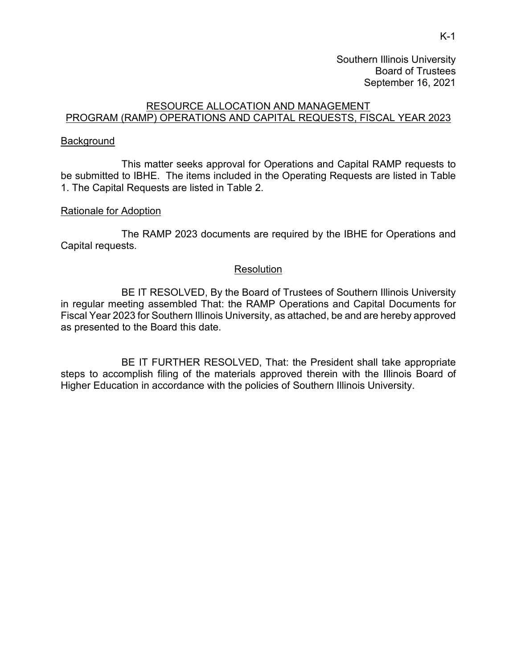Southern Illinois University Board of Trustees September 16, 2021

### RESOURCE ALLOCATION AND MANAGEMENT PROGRAM (RAMP) OPERATIONS AND CAPITAL REQUESTS, FISCAL YEAR 2023

#### **Background**

This matter seeks approval for Operations and Capital RAMP requests to be submitted to IBHE. The items included in the Operating Requests are listed in Table 1. The Capital Requests are listed in Table 2.

#### Rationale for Adoption

The RAMP 2023 documents are required by the IBHE for Operations and Capital requests.

#### **Resolution**

BE IT RESOLVED, By the Board of Trustees of Southern Illinois University in regular meeting assembled That: the RAMP Operations and Capital Documents for Fiscal Year 2023 for Southern Illinois University, as attached, be and are hereby approved as presented to the Board this date.

BE IT FURTHER RESOLVED, That: the President shall take appropriate steps to accomplish filing of the materials approved therein with the Illinois Board of Higher Education in accordance with the policies of Southern Illinois University.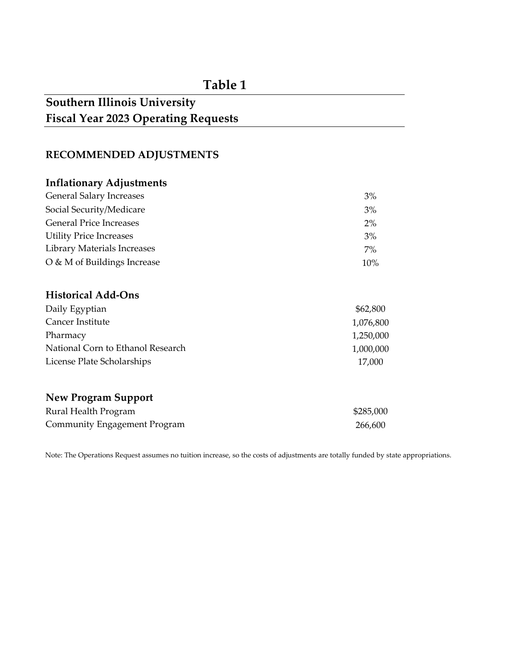## **Table 1**

# **Southern Illinois University Fiscal Year 2023 Operating Requests**

## **RECOMMENDED ADJUSTMENTS**

## **Inflationary Adjustments**

| <b>General Salary Increases</b> | 3%     |
|---------------------------------|--------|
| Social Security/Medicare        | 3%     |
| <b>General Price Increases</b>  | $2\%$  |
| <b>Utility Price Increases</b>  | 3%     |
| Library Materials Increases     | 7%     |
| O & M of Buildings Increase     | $10\%$ |

## **Historical Add-Ons**

| Daily Egyptian                    | \$62,800  |
|-----------------------------------|-----------|
| Cancer Institute                  | 1,076,800 |
| Pharmacy                          | 1,250,000 |
| National Corn to Ethanol Research | 1,000,000 |
| License Plate Scholarships        | 17,000    |

## **New Program Support**

| Rural Health Program         | \$285,000 |
|------------------------------|-----------|
| Community Engagement Program | 266.600   |

Note: The Operations Request assumes no tuition increase, so the costs of adjustments are totally funded by state appropriations.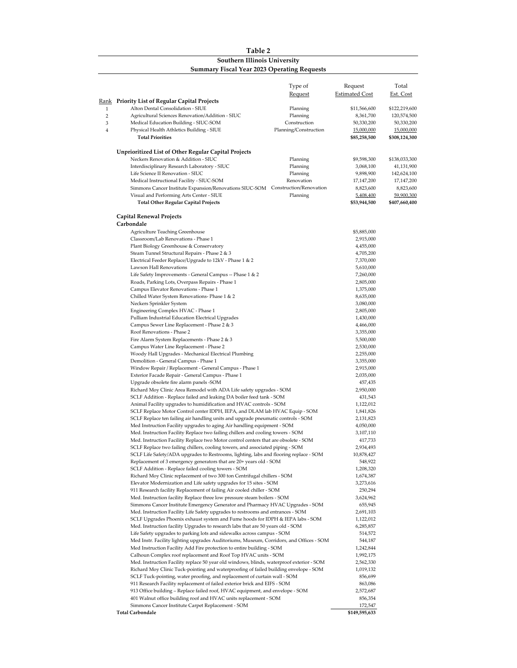#### **Table 2 Southern Illinois University Summary Fiscal Year 2023 Operating Requests**

|                |                                                                                                                                                   | Type of               | Request                  | Total            |
|----------------|---------------------------------------------------------------------------------------------------------------------------------------------------|-----------------------|--------------------------|------------------|
|                |                                                                                                                                                   | <b>Request</b>        | <b>Estimated Cost</b>    | <u>Est. Cost</u> |
|                | <b>Rank</b> Priority List of Regular Capital Projects                                                                                             |                       |                          |                  |
| $\mathbf{1}$   | Alton Dental Consolidation - SIUE                                                                                                                 | Planning              | \$11,566,600             | \$122,219,600    |
| $\overline{c}$ | Agricultural Sciences Renovation/Addition - SIUC                                                                                                  | Planning              | 8,361,700                | 120,574,500      |
| 3              | Medical Education Building - SIUC-SOM                                                                                                             | Construction          | 50,330,200               | 50,330,200       |
| 4              | Physical Health Athletics Building - SIUE                                                                                                         | Planning/Construction | 15,000,000               | 15,000,000       |
|                | <b>Total Priorities</b>                                                                                                                           |                       | \$85,258,500             | \$308,124,300    |
|                | Unprioritized List of Other Regular Capital Projects                                                                                              |                       |                          |                  |
|                | Neckers Renovation & Addition - SIUC                                                                                                              | Planning              | \$9,598,300              | \$138,033,300    |
|                | Interdisciplinary Research Laboratory - SIUC                                                                                                      | Planning              | 3,068,100                | 41,131,900       |
|                | Life Science II Renovation - SIUC                                                                                                                 | Planning              | 9,898,900                | 142,624,100      |
|                | Medical Instructional Facility - SIUC-SOM                                                                                                         | Renovation            | 17,147,200               | 17,147,200       |
|                | Simmons Cancer Institute Expansion/Renovations SIUC-SOM Construction/Renovation                                                                   |                       | 8,823,600                | 8,823,600        |
|                | Visual and Performing Arts Center - SIUE                                                                                                          | Planning              | 5,408,400                | 59,900,300       |
|                | <b>Total Other Regular Capital Projects</b>                                                                                                       |                       | \$53,944,500             | \$407,660,400    |
|                | Capital Renewal Projects                                                                                                                          |                       |                          |                  |
|                | Carbondale                                                                                                                                        |                       |                          |                  |
|                | <b>Agriculture Teaching Greenhouse</b>                                                                                                            |                       | \$5,885,000              |                  |
|                | Classroom/Lab Renovations - Phase 1                                                                                                               |                       | 2,915,000                |                  |
|                | Plant Biology Greenhouse & Conservatory                                                                                                           |                       | 4,455,000                |                  |
|                | Steam Tunnel Structural Repairs - Phase 2 & 3                                                                                                     |                       | 4,705,200                |                  |
|                | Electrical Feeder Replace/Upgrade to 12kV - Phase 1 & 2                                                                                           |                       | 7,370,000                |                  |
|                | Lawson Hall Renovations                                                                                                                           |                       | 5,610,000                |                  |
|                | Life Safety Improvements - General Campus -- Phase 1 & 2<br>Roads, Parking Lots, Overpass Repairs - Phase 1                                       |                       | 7,260,000<br>2,805,000   |                  |
|                | Campus Elevator Renovations - Phase 1                                                                                                             |                       | 1,375,000                |                  |
|                | Chilled Water System Renovations- Phase 1 & 2                                                                                                     |                       | 8,635,000                |                  |
|                | Neckers Sprinkler System                                                                                                                          |                       | 3,080,000                |                  |
|                | Engineering Complex HVAC - Phase 1                                                                                                                |                       | 2,805,000                |                  |
|                | Pulliam Industrial Education Electrical Upgrades                                                                                                  |                       | 1,430,000                |                  |
|                | Campus Sewer Line Replacement - Phase 2 & 3                                                                                                       |                       | 4,466,000                |                  |
|                | Roof Renovations - Phase 2                                                                                                                        |                       | 3,355,000                |                  |
|                | Fire Alarm System Replacements - Phase 2 & 3                                                                                                      |                       | 5,500,000                |                  |
|                | Campus Water Line Replacement - Phase 2                                                                                                           |                       | 2,530,000                |                  |
|                | Woody Hall Upgrades - Mechanical Electrical Plumbing                                                                                              |                       | 2,255,000                |                  |
|                | Demolition - General Campus - Phase 1                                                                                                             |                       | 3,355,000                |                  |
|                | Window Repair / Replacement - General Campus - Phase 1                                                                                            |                       | 2,915,000                |                  |
|                | Exterior Facade Repair - General Campus - Phase 1                                                                                                 |                       | 2,035,000                |                  |
|                | Upgrade obsolete fire alarm panels -SOM<br>Richard Moy Clinic Area Remodel with ADA Life safety upgrades - SOM                                    |                       | 457,435<br>2,950,000     |                  |
|                | SCLF Addition - Replace failed and leaking DA boiler feed tank - SOM                                                                              |                       | 431,543                  |                  |
|                | Animal Facility upgrades to humidification and HVAC controls - SOM                                                                                |                       | 1,122,012                |                  |
|                | SCLF Replace Motor Control center IDPH, IEPA, and DLAM lab HVAC Equip - SOM                                                                       |                       | 1,841,826                |                  |
|                | SCLF Replace ten failing air handling units and upgrade pneumatic controls - SOM                                                                  |                       | 2,131,823                |                  |
|                | Med Instruction Facility upgrades to aging Air handling equipment - SOM                                                                           |                       | 4,050,000                |                  |
|                | Med. Instruction Facility Replace two failing chillers and cooling towers - SOM                                                                   |                       | 3,107,110                |                  |
|                | Med. Instruction Facility Replace two Motor control centers that are obsolete - SOM                                                               |                       | 417,733                  |                  |
|                | SCLF Replace two failing chillers, cooling towers, and associated piping - SOM                                                                    |                       | 2,934,493                |                  |
|                | SCLF Life Safety/ADA upgrades to Restrooms, lighting, labs and flooring replace - SOM                                                             |                       | 10,878,427               |                  |
|                | Replacement of 3 emergency generators that are 20+ years old - SOM                                                                                |                       | 548,922                  |                  |
|                | SCLF Addition - Replace failed cooling towers - SOM                                                                                               |                       | 1,208,320                |                  |
|                | Richard Moy Clinic replacement of two 300 ton Centrifugal chillers - SOM                                                                          |                       | 1,674,387                |                  |
|                | Elevator Modernization and Life safety upgrades for 15 sites - SOM                                                                                |                       | 3,273,616                |                  |
|                | 911 Research facility Replacement of failing Air cooled chiller - SOM<br>Med. Instruction facility Replace three low pressure steam boilers - SOM |                       | 250,294                  |                  |
|                | Simmons Cancer Institute Emergency Generator and Pharmacy HVAC Upgrades - SOM                                                                     |                       | 3,624,962<br>655,945     |                  |
|                | Med. Instruction Facility Life Safety upgrades to restrooms and entrances - SOM                                                                   |                       | 2,691,103                |                  |
|                | SCLF Upgrades Phoenix exhaust system and Fume hoods for IDPH & IEPA labs - SOM                                                                    |                       | 1,122,012                |                  |
|                | Med. Instruction facility Upgrades to research labs that are 50 years old - SOM                                                                   |                       | 6,285,857                |                  |
|                | Life Safety upgrades to parking lots and sidewalks across campus - SOM                                                                            |                       | 514,572                  |                  |
|                | Med Instr. Facility lighting upgrades Auditoriums, Museum, Corridors, and Offices - SOM                                                           |                       | 544,187                  |                  |
|                | Med Instruction Facility Add Fire protection to entire building - SOM                                                                             |                       | 1,242,844                |                  |
|                | Calhoun Complex roof replacement and Roof Top HVAC units - SOM                                                                                    |                       | 1,992,175                |                  |
|                | Med. Instruction Facility replace 50 year old windows, blinds, waterproof exterior - SOM                                                          |                       | 2,562,330                |                  |
|                | Richard Moy Clinic Tuck-pointing and waterproofing of failed building envelope - SOM                                                              |                       | 1,019,132                |                  |
|                | SCLF Tuck-pointing, water proofing, and replacement of curtain wall - SOM                                                                         |                       | 856,699                  |                  |
|                | 911 Research Facility replacement of failed exterior brick and EIFS - SOM                                                                         |                       | 863,086                  |                  |
|                | 913 Office building – Replace failed roof, HVAC equipment, and envelope - SOM                                                                     |                       | 2,572,687                |                  |
|                | 401 Walnut office building roof and HVAC units replacement - SOM                                                                                  |                       | 856,354                  |                  |
|                | Simmons Cancer Institute Carpet Replacement - SOM<br><b>Total Carbondale</b>                                                                      |                       | 172,547<br>\$149,595,633 |                  |
|                |                                                                                                                                                   |                       |                          |                  |